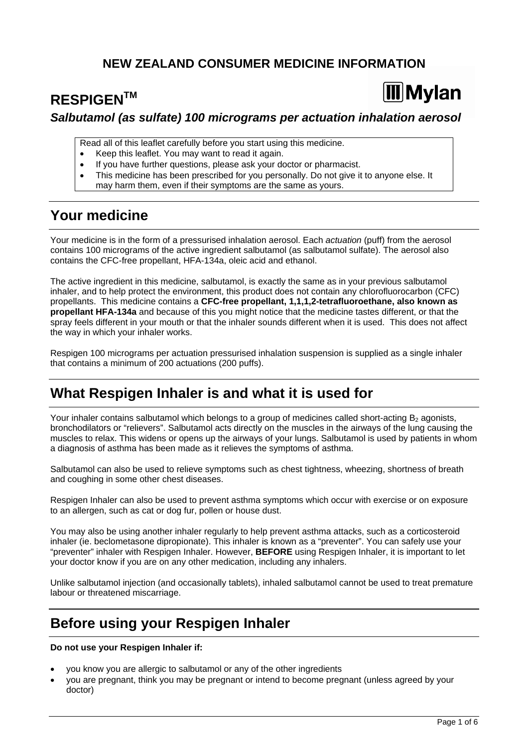### **NEW ZEALAND CONSUMER MEDICINE INFORMATION**

# **RESPIGENTM**

# **Mylan**

### *Salbutamol (as sulfate) 100 micrograms per actuation inhalation aerosol*

Read all of this leaflet carefully before you start using this medicine.

- Keep this leaflet. You may want to read it again.
- If you have further questions, please ask your doctor or pharmacist.
- This medicine has been prescribed for you personally. Do not give it to anyone else. It may harm them, even if their symptoms are the same as yours.

# **Your medicine**

Your medicine is in the form of a pressurised inhalation aerosol. Each *actuation* (puff) from the aerosol contains 100 micrograms of the active ingredient salbutamol (as salbutamol sulfate). The aerosol also contains the CFC-free propellant, HFA-134a, oleic acid and ethanol.

The active ingredient in this medicine, salbutamol, is exactly the same as in your previous salbutamol inhaler, and to help protect the environment, this product does not contain any chlorofluorocarbon (CFC) propellants. This medicine contains a **CFC-free propellant, 1,1,1,2-tetrafluoroethane, also known as propellant HFA-134a** and because of this you might notice that the medicine tastes different, or that the spray feels different in your mouth or that the inhaler sounds different when it is used. This does not affect the way in which your inhaler works.

Respigen 100 micrograms per actuation pressurised inhalation suspension is supplied as a single inhaler that contains a minimum of 200 actuations (200 puffs).

# **What Respigen Inhaler is and what it is used for**

Your inhaler contains salbutamol which belongs to a group of medicines called short-acting  $B<sub>2</sub>$  agonists, bronchodilators or "relievers". Salbutamol acts directly on the muscles in the airways of the lung causing the muscles to relax. This widens or opens up the airways of your lungs. Salbutamol is used by patients in whom a diagnosis of asthma has been made as it relieves the symptoms of asthma.

Salbutamol can also be used to relieve symptoms such as chest tightness, wheezing, shortness of breath and coughing in some other chest diseases.

Respigen Inhaler can also be used to prevent asthma symptoms which occur with exercise or on exposure to an allergen, such as cat or dog fur, pollen or house dust.

You may also be using another inhaler regularly to help prevent asthma attacks, such as a corticosteroid inhaler (ie. beclometasone dipropionate). This inhaler is known as a "preventer". You can safely use your "preventer" inhaler with Respigen Inhaler. However, **BEFORE** using Respigen Inhaler, it is important to let your doctor know if you are on any other medication, including any inhalers.

Unlike salbutamol injection (and occasionally tablets), inhaled salbutamol cannot be used to treat premature labour or threatened miscarriage.

# **Before using your Respigen Inhaler**

**Do not use your Respigen Inhaler if:** 

- you know you are allergic to salbutamol or any of the other ingredients
- you are pregnant, think you may be pregnant or intend to become pregnant (unless agreed by your doctor)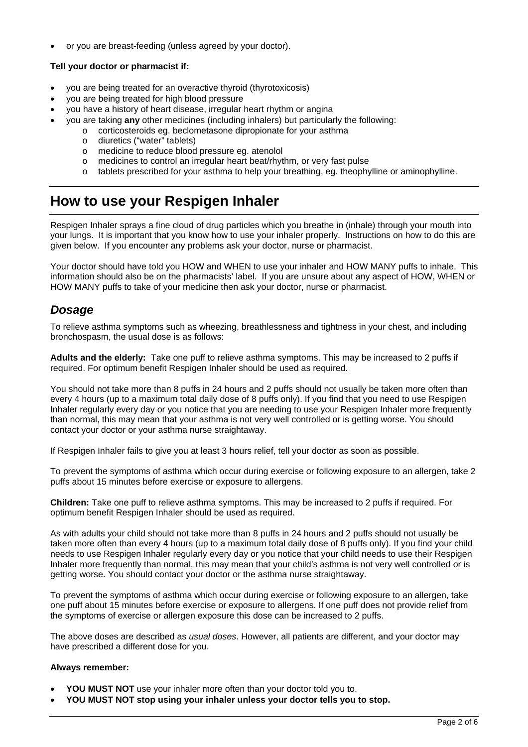or you are breast-feeding (unless agreed by your doctor).

#### **Tell your doctor or pharmacist if:**

- you are being treated for an overactive thyroid (thyrotoxicosis)
- you are being treated for high blood pressure
- you have a history of heart disease, irregular heart rhythm or angina
	- you are taking **any** other medicines (including inhalers) but particularly the following:
		- o corticosteroids eg. beclometasone dipropionate for your asthma
		- o diuretics ("water" tablets)
		- o medicine to reduce blood pressure eg. atenolol
		- o medicines to control an irregular heart beat/rhythm, or very fast pulse
		- o tablets prescribed for your asthma to help your breathing, eg. theophylline or aminophylline.

# **How to use your Respigen Inhaler**

Respigen Inhaler sprays a fine cloud of drug particles which you breathe in (inhale) through your mouth into your lungs. It is important that you know how to use your inhaler properly. Instructions on how to do this are given below. If you encounter any problems ask your doctor, nurse or pharmacist.

Your doctor should have told you HOW and WHEN to use your inhaler and HOW MANY puffs to inhale. This information should also be on the pharmacists' label. If you are unsure about any aspect of HOW, WHEN or HOW MANY puffs to take of your medicine then ask your doctor, nurse or pharmacist.

### *Dosage*

To relieve asthma symptoms such as wheezing, breathlessness and tightness in your chest, and including bronchospasm, the usual dose is as follows:

**Adults and the elderly:** Take one puff to relieve asthma symptoms. This may be increased to 2 puffs if required. For optimum benefit Respigen Inhaler should be used as required.

You should not take more than 8 puffs in 24 hours and 2 puffs should not usually be taken more often than every 4 hours (up to a maximum total daily dose of 8 puffs only). If you find that you need to use Respigen Inhaler regularly every day or you notice that you are needing to use your Respigen Inhaler more frequently than normal, this may mean that your asthma is not very well controlled or is getting worse. You should contact your doctor or your asthma nurse straightaway.

If Respigen Inhaler fails to give you at least 3 hours relief, tell your doctor as soon as possible.

To prevent the symptoms of asthma which occur during exercise or following exposure to an allergen, take 2 puffs about 15 minutes before exercise or exposure to allergens.

**Children:** Take one puff to relieve asthma symptoms. This may be increased to 2 puffs if required. For optimum benefit Respigen Inhaler should be used as required.

As with adults your child should not take more than 8 puffs in 24 hours and 2 puffs should not usually be taken more often than every 4 hours (up to a maximum total daily dose of 8 puffs only). If you find your child needs to use Respigen Inhaler regularly every day or you notice that your child needs to use their Respigen Inhaler more frequently than normal, this may mean that your child's asthma is not very well controlled or is getting worse. You should contact your doctor or the asthma nurse straightaway.

To prevent the symptoms of asthma which occur during exercise or following exposure to an allergen, take one puff about 15 minutes before exercise or exposure to allergens. If one puff does not provide relief from the symptoms of exercise or allergen exposure this dose can be increased to 2 puffs.

The above doses are described as *usual doses*. However, all patients are different, and your doctor may have prescribed a different dose for you.

#### **Always remember:**

- **YOU MUST NOT** use your inhaler more often than your doctor told you to.
- **YOU MUST NOT stop using your inhaler unless your doctor tells you to stop.**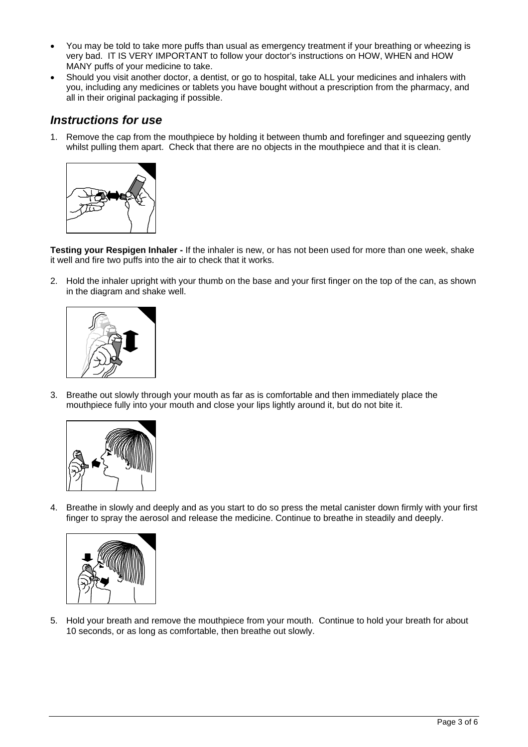- You may be told to take more puffs than usual as emergency treatment if your breathing or wheezing is very bad. IT IS VERY IMPORTANT to follow your doctor's instructions on HOW, WHEN and HOW MANY puffs of your medicine to take.
- Should you visit another doctor, a dentist, or go to hospital, take ALL your medicines and inhalers with you, including any medicines or tablets you have bought without a prescription from the pharmacy, and all in their original packaging if possible.

### *Instructions for use*

1. Remove the cap from the mouthpiece by holding it between thumb and forefinger and squeezing gently whilst pulling them apart. Check that there are no objects in the mouthpiece and that it is clean.



**Testing your Respigen Inhaler -** If the inhaler is new, or has not been used for more than one week, shake it well and fire two puffs into the air to check that it works.

2. Hold the inhaler upright with your thumb on the base and your first finger on the top of the can, as shown in the diagram and shake well.



3. Breathe out slowly through your mouth as far as is comfortable and then immediately place the mouthpiece fully into your mouth and close your lips lightly around it, but do not bite it.



4. Breathe in slowly and deeply and as you start to do so press the metal canister down firmly with your first finger to spray the aerosol and release the medicine. Continue to breathe in steadily and deeply.



5. Hold your breath and remove the mouthpiece from your mouth. Continue to hold your breath for about 10 seconds, or as long as comfortable, then breathe out slowly.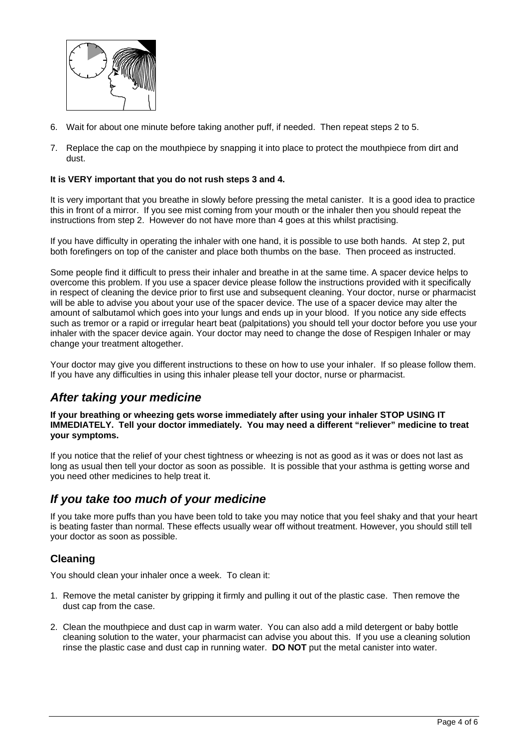

- 6. Wait for about one minute before taking another puff, if needed. Then repeat steps 2 to 5.
- 7. Replace the cap on the mouthpiece by snapping it into place to protect the mouthpiece from dirt and dust.

#### **It is VERY important that you do not rush steps 3 and 4.**

It is very important that you breathe in slowly before pressing the metal canister. It is a good idea to practice this in front of a mirror. If you see mist coming from your mouth or the inhaler then you should repeat the instructions from step 2. However do not have more than 4 goes at this whilst practising.

If you have difficulty in operating the inhaler with one hand, it is possible to use both hands. At step 2, put both forefingers on top of the canister and place both thumbs on the base. Then proceed as instructed.

Some people find it difficult to press their inhaler and breathe in at the same time. A spacer device helps to overcome this problem. If you use a spacer device please follow the instructions provided with it specifically in respect of cleaning the device prior to first use and subsequent cleaning. Your doctor, nurse or pharmacist will be able to advise you about your use of the spacer device. The use of a spacer device may alter the amount of salbutamol which goes into your lungs and ends up in your blood. If you notice any side effects such as tremor or a rapid or irregular heart beat (palpitations) you should tell your doctor before you use your inhaler with the spacer device again. Your doctor may need to change the dose of Respigen Inhaler or may change your treatment altogether.

Your doctor may give you different instructions to these on how to use your inhaler. If so please follow them. If you have any difficulties in using this inhaler please tell your doctor, nurse or pharmacist.

### *After taking your medicine*

**If your breathing or wheezing gets worse immediately after using your inhaler STOP USING IT IMMEDIATELY. Tell your doctor immediately. You may need a different "reliever" medicine to treat your symptoms.** 

If you notice that the relief of your chest tightness or wheezing is not as good as it was or does not last as long as usual then tell your doctor as soon as possible. It is possible that your asthma is getting worse and you need other medicines to help treat it.

#### *If you take too much of your medicine*

If you take more puffs than you have been told to take you may notice that you feel shaky and that your heart is beating faster than normal. These effects usually wear off without treatment. However, you should still tell your doctor as soon as possible.

#### **Cleaning**

You should clean your inhaler once a week. To clean it:

- 1. Remove the metal canister by gripping it firmly and pulling it out of the plastic case. Then remove the dust cap from the case.
- 2. Clean the mouthpiece and dust cap in warm water. You can also add a mild detergent or baby bottle cleaning solution to the water, your pharmacist can advise you about this. If you use a cleaning solution rinse the plastic case and dust cap in running water. **DO NOT** put the metal canister into water.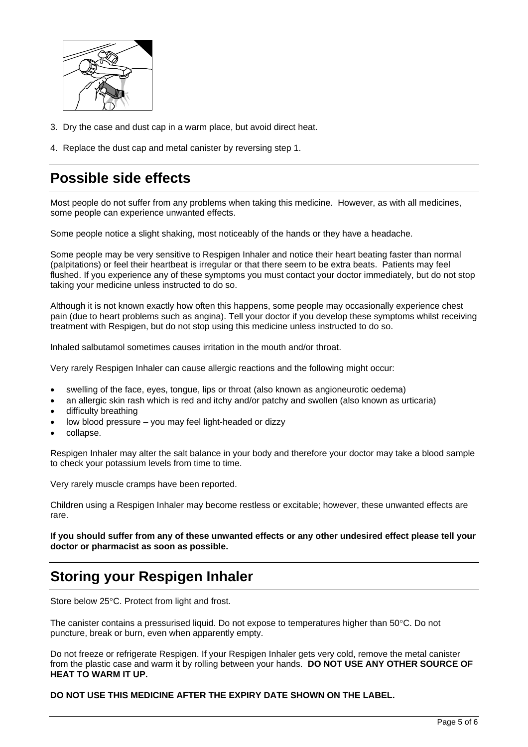

- 3. Dry the case and dust cap in a warm place, but avoid direct heat.
- 4. Replace the dust cap and metal canister by reversing step 1.

# **Possible side effects**

Most people do not suffer from any problems when taking this medicine. However, as with all medicines, some people can experience unwanted effects.

Some people notice a slight shaking, most noticeably of the hands or they have a headache.

Some people may be very sensitive to Respigen Inhaler and notice their heart beating faster than normal (palpitations) or feel their heartbeat is irregular or that there seem to be extra beats. Patients may feel flushed. If you experience any of these symptoms you must contact your doctor immediately, but do not stop taking your medicine unless instructed to do so.

Although it is not known exactly how often this happens, some people may occasionally experience chest pain (due to heart problems such as angina). Tell your doctor if you develop these symptoms whilst receiving treatment with Respigen, but do not stop using this medicine unless instructed to do so.

Inhaled salbutamol sometimes causes irritation in the mouth and/or throat.

Very rarely Respigen Inhaler can cause allergic reactions and the following might occur:

- swelling of the face, eyes, tongue, lips or throat (also known as angioneurotic oedema)
- an allergic skin rash which is red and itchy and/or patchy and swollen (also known as urticaria)
- difficulty breathing
- low blood pressure you may feel light-headed or dizzy
- collapse.

Respigen Inhaler may alter the salt balance in your body and therefore your doctor may take a blood sample to check your potassium levels from time to time.

Very rarely muscle cramps have been reported.

Children using a Respigen Inhaler may become restless or excitable; however, these unwanted effects are rare.

**If you should suffer from any of these unwanted effects or any other undesired effect please tell your doctor or pharmacist as soon as possible.** 

# **Storing your Respigen Inhaler**

Store below  $25^{\circ}$ C. Protect from light and frost.

The canister contains a pressurised liquid. Do not expose to temperatures higher than  $50^{\circ}$ C. Do not puncture, break or burn, even when apparently empty.

Do not freeze or refrigerate Respigen. If your Respigen Inhaler gets very cold, remove the metal canister from the plastic case and warm it by rolling between your hands. **DO NOT USE ANY OTHER SOURCE OF HEAT TO WARM IT UP.** 

#### **DO NOT USE THIS MEDICINE AFTER THE EXPIRY DATE SHOWN ON THE LABEL.**